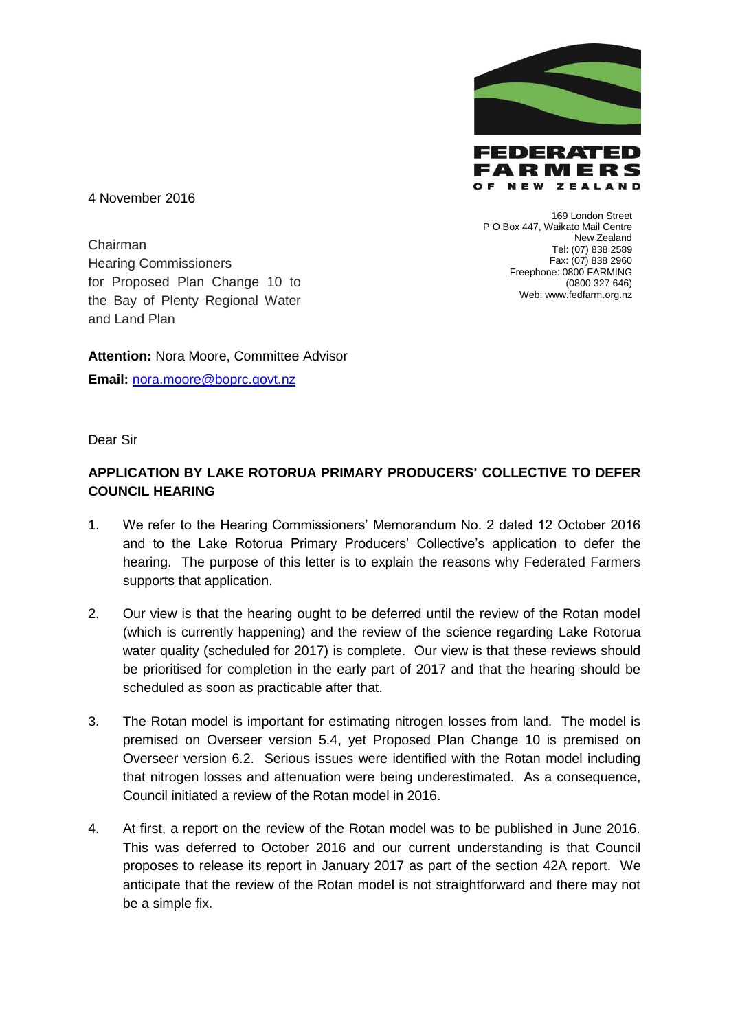

P O Box 447, Waikato Mail Centre

FARMERS OF NEW ZEALAND

169 London Street

New Zealand Tel: (07) 838 2589 Fax: (07) 838 2960 Freephone: 0800 FARMING

(0800 327 646)

Web: www.fedfarm.org.nz

4 November 2016

Chairman Hearing Commissioners for Proposed Plan Change 10 to the Bay of Plenty Regional Water and Land Plan

**Attention:** Nora Moore, Committee Advisor

**Email:** [nora.moore@boprc.govt.nz](mailto:nora.moore@boprc.govt.nz)

Dear Sir

## **APPLICATION BY LAKE ROTORUA PRIMARY PRODUCERS' COLLECTIVE TO DEFER COUNCIL HEARING**

- 1. We refer to the Hearing Commissioners' Memorandum No. 2 dated 12 October 2016 and to the Lake Rotorua Primary Producers' Collective's application to defer the hearing. The purpose of this letter is to explain the reasons why Federated Farmers supports that application.
- 2. Our view is that the hearing ought to be deferred until the review of the Rotan model (which is currently happening) and the review of the science regarding Lake Rotorua water quality (scheduled for 2017) is complete. Our view is that these reviews should be prioritised for completion in the early part of 2017 and that the hearing should be scheduled as soon as practicable after that.
- 3. The Rotan model is important for estimating nitrogen losses from land. The model is premised on Overseer version 5.4, yet Proposed Plan Change 10 is premised on Overseer version 6.2. Serious issues were identified with the Rotan model including that nitrogen losses and attenuation were being underestimated. As a consequence, Council initiated a review of the Rotan model in 2016.
- 4. At first, a report on the review of the Rotan model was to be published in June 2016. This was deferred to October 2016 and our current understanding is that Council proposes to release its report in January 2017 as part of the section 42A report. We anticipate that the review of the Rotan model is not straightforward and there may not be a simple fix.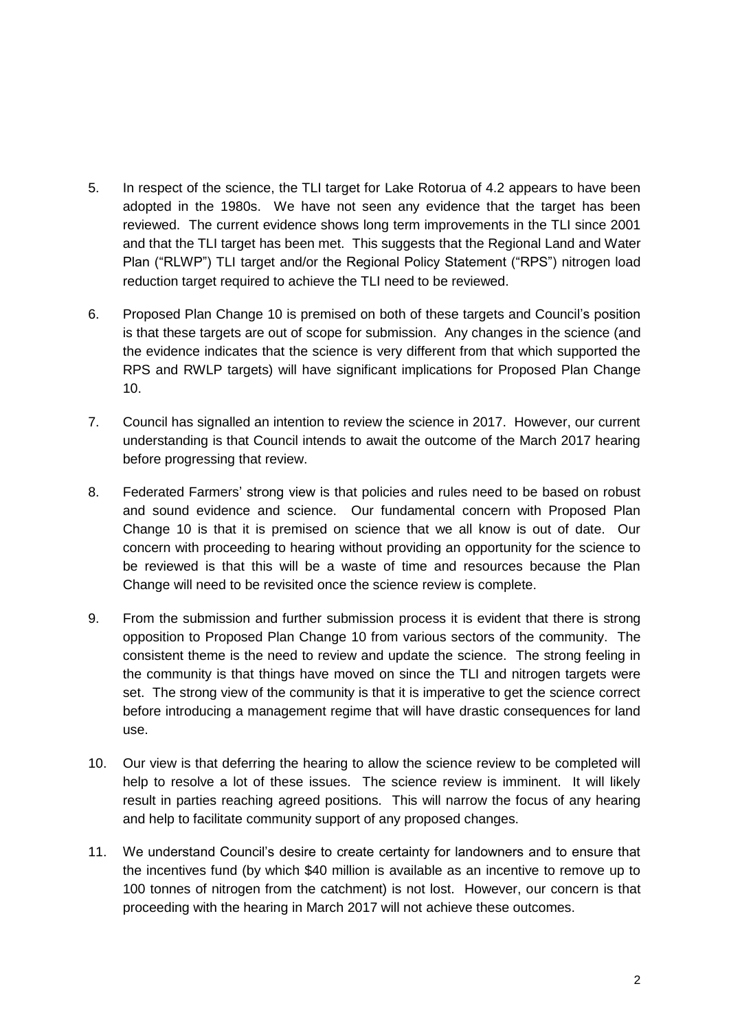- 5. In respect of the science, the TLI target for Lake Rotorua of 4.2 appears to have been adopted in the 1980s. We have not seen any evidence that the target has been reviewed. The current evidence shows long term improvements in the TLI since 2001 and that the TLI target has been met. This suggests that the Regional Land and Water Plan ("RLWP") TLI target and/or the Regional Policy Statement ("RPS") nitrogen load reduction target required to achieve the TLI need to be reviewed.
- 6. Proposed Plan Change 10 is premised on both of these targets and Council's position is that these targets are out of scope for submission. Any changes in the science (and the evidence indicates that the science is very different from that which supported the RPS and RWLP targets) will have significant implications for Proposed Plan Change 10.
- 7. Council has signalled an intention to review the science in 2017. However, our current understanding is that Council intends to await the outcome of the March 2017 hearing before progressing that review.
- 8. Federated Farmers' strong view is that policies and rules need to be based on robust and sound evidence and science. Our fundamental concern with Proposed Plan Change 10 is that it is premised on science that we all know is out of date. Our concern with proceeding to hearing without providing an opportunity for the science to be reviewed is that this will be a waste of time and resources because the Plan Change will need to be revisited once the science review is complete.
- 9. From the submission and further submission process it is evident that there is strong opposition to Proposed Plan Change 10 from various sectors of the community. The consistent theme is the need to review and update the science. The strong feeling in the community is that things have moved on since the TLI and nitrogen targets were set. The strong view of the community is that it is imperative to get the science correct before introducing a management regime that will have drastic consequences for land use.
- 10. Our view is that deferring the hearing to allow the science review to be completed will help to resolve a lot of these issues. The science review is imminent. It will likely result in parties reaching agreed positions. This will narrow the focus of any hearing and help to facilitate community support of any proposed changes.
- 11. We understand Council's desire to create certainty for landowners and to ensure that the incentives fund (by which \$40 million is available as an incentive to remove up to 100 tonnes of nitrogen from the catchment) is not lost. However, our concern is that proceeding with the hearing in March 2017 will not achieve these outcomes.